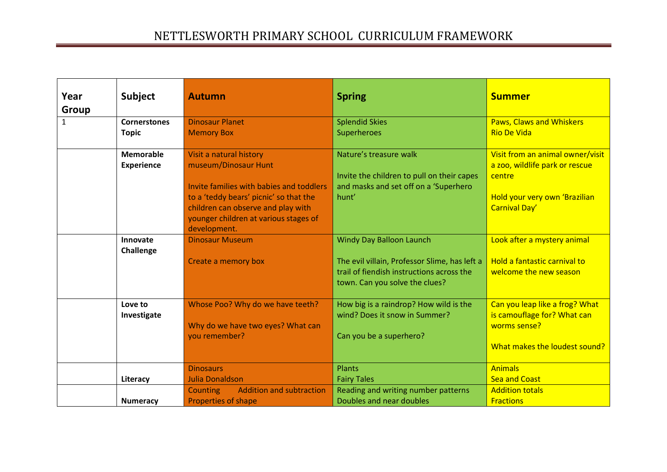| Year         | <b>Subject</b>      | <b>Autumn</b>                                                               | <b>Spring</b>                                 | <b>Summer</b>                    |
|--------------|---------------------|-----------------------------------------------------------------------------|-----------------------------------------------|----------------------------------|
| Group        |                     |                                                                             |                                               |                                  |
| $\mathbf{1}$ | <b>Cornerstones</b> | <b>Dinosaur Planet</b>                                                      | <b>Splendid Skies</b>                         | <b>Paws, Claws and Whiskers</b>  |
|              | <b>Topic</b>        | <b>Memory Box</b>                                                           | Superheroes                                   | <b>Rio De Vida</b>               |
|              | <b>Memorable</b>    | Visit a natural history                                                     | Nature's treasure walk                        | Visit from an animal owner/visit |
|              | <b>Experience</b>   | museum/Dinosaur Hunt                                                        |                                               | a zoo, wildlife park or rescue   |
|              |                     |                                                                             | Invite the children to pull on their capes    | centre                           |
|              |                     | Invite families with babies and toddlers                                    | and masks and set off on a 'Superhero         |                                  |
|              |                     | to a 'teddy bears' picnic' so that the                                      | hunt'                                         | Hold your very own 'Brazilian    |
|              |                     | children can observe and play with<br>younger children at various stages of |                                               | Carnival Day'                    |
|              |                     | development.                                                                |                                               |                                  |
|              | Innovate            | <b>Dinosaur Museum</b>                                                      | <b>Windy Day Balloon Launch</b>               | Look after a mystery animal      |
|              | Challenge           |                                                                             |                                               |                                  |
|              |                     | Create a memory box                                                         | The evil villain, Professor Slime, has left a | Hold a fantastic carnival to     |
|              |                     |                                                                             | trail of fiendish instructions across the     | welcome the new season           |
|              |                     |                                                                             | town. Can you solve the clues?                |                                  |
|              | Love to             | Whose Poo? Why do we have teeth?                                            | How big is a raindrop? How wild is the        | Can you leap like a frog? What   |
|              | Investigate         |                                                                             | wind? Does it snow in Summer?                 | is camouflage for? What can      |
|              |                     | Why do we have two eyes? What can                                           |                                               | worms sense?                     |
|              |                     | you remember?                                                               | Can you be a superhero?                       |                                  |
|              |                     |                                                                             |                                               | What makes the loudest sound?    |
|              |                     | <b>Dinosaurs</b>                                                            | Plants                                        | <b>Animals</b>                   |
|              | Literacy            | <b>Julia Donaldson</b>                                                      | <b>Fairy Tales</b>                            | <b>Sea and Coast</b>             |
|              |                     | <b>Addition and subtraction</b><br><b>Counting</b>                          | Reading and writing number patterns           | <b>Addition totals</b>           |
|              | <b>Numeracy</b>     | <b>Properties of shape</b>                                                  | Doubles and near doubles                      | <b>Fractions</b>                 |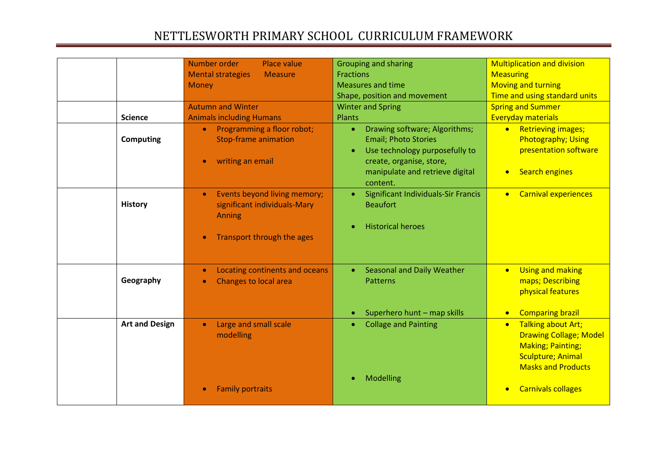| <b>Science</b><br>Computing | Number order<br>Place value<br><b>Mental strategies</b><br><b>Measure</b><br><b>Money</b><br><b>Autumn and Winter</b><br><b>Animals including Humans</b><br>Programming a floor robot;<br>$\bullet$<br><b>Stop-frame animation</b> | <b>Grouping and sharing</b><br><b>Fractions</b><br><b>Measures and time</b><br>Shape, position and movement<br><b>Winter and Spring</b><br>Plants<br>Drawing software; Algorithms;<br>$\bullet$<br><b>Email; Photo Stories</b> | <b>Multiplication and division</b><br><b>Measuring</b><br><b>Moving and turning</b><br>Time and using standard units<br><b>Spring and Summer</b><br><b>Everyday materials</b><br><b>Retrieving images;</b><br>$\bullet$<br><b>Photography; Using</b> |
|-----------------------------|------------------------------------------------------------------------------------------------------------------------------------------------------------------------------------------------------------------------------------|--------------------------------------------------------------------------------------------------------------------------------------------------------------------------------------------------------------------------------|------------------------------------------------------------------------------------------------------------------------------------------------------------------------------------------------------------------------------------------------------|
|                             | writing an email                                                                                                                                                                                                                   | Use technology purposefully to<br>$\bullet$<br>create, organise, store,<br>manipulate and retrieve digital<br>content.                                                                                                         | presentation software<br><b>Search engines</b><br>$\bullet$                                                                                                                                                                                          |
| <b>History</b>              | Events beyond living memory;<br>$\bullet$<br>significant individuals-Mary<br>Anning<br>Transport through the ages                                                                                                                  | Significant Individuals-Sir Francis<br>$\bullet$<br><b>Beaufort</b><br><b>Historical heroes</b>                                                                                                                                | <b>Carnival experiences</b><br>$\bullet$                                                                                                                                                                                                             |
| Geography                   | Locating continents and oceans<br><b>Changes to local area</b>                                                                                                                                                                     | <b>Seasonal and Daily Weather</b><br><b>Patterns</b><br>Superhero hunt - map skills                                                                                                                                            | <b>Using and making</b><br>$\bullet$<br>maps; Describing<br>physical features<br><b>Comparing brazil</b><br>$\bullet$                                                                                                                                |
| <b>Art and Design</b>       | Large and small scale<br>$\bullet$<br>modelling                                                                                                                                                                                    | <b>Collage and Painting</b><br>Modelling                                                                                                                                                                                       | <b>Talking about Art;</b><br>$\bullet$<br><b>Drawing Collage; Model</b><br><b>Making; Painting;</b><br><b>Sculpture; Animal</b><br><b>Masks and Products</b>                                                                                         |
|                             | <b>Family portraits</b>                                                                                                                                                                                                            |                                                                                                                                                                                                                                | <b>Carnivals collages</b>                                                                                                                                                                                                                            |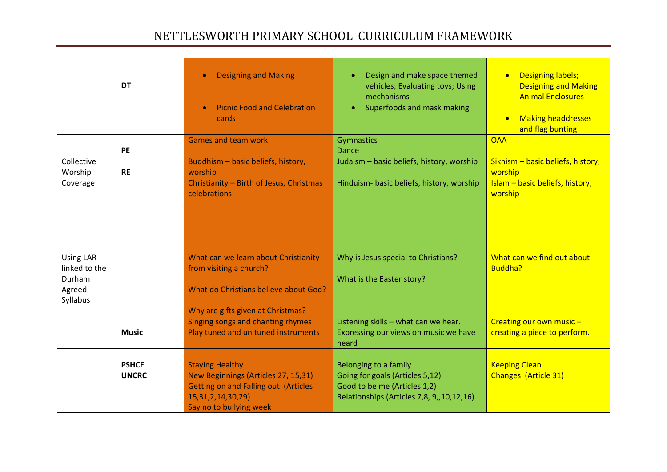|                                                                   | <b>DT</b>                    | <b>Designing and Making</b><br><b>Picnic Food and Celebration</b><br>cards                                                                                        | Design and make space themed<br>$\bullet$<br>vehicles; Evaluating toys; Using<br>mechanisms<br>Superfoods and mask making                | <b>Designing labels;</b><br>$\bullet$<br><b>Designing and Making</b><br><b>Animal Enclosures</b><br><b>Making headdresses</b><br>$\bullet$<br>and flag bunting |
|-------------------------------------------------------------------|------------------------------|-------------------------------------------------------------------------------------------------------------------------------------------------------------------|------------------------------------------------------------------------------------------------------------------------------------------|----------------------------------------------------------------------------------------------------------------------------------------------------------------|
|                                                                   | <b>PE</b>                    | <b>Games and team work</b>                                                                                                                                        | Gymnastics<br><b>Dance</b>                                                                                                               | <b>OAA</b>                                                                                                                                                     |
| Collective<br>Worship<br>Coverage                                 | <b>RE</b>                    | Buddhism - basic beliefs, history,<br>worship<br>Christianity - Birth of Jesus, Christmas<br>celebrations                                                         | Judaism - basic beliefs, history, worship<br>Hinduism- basic beliefs, history, worship                                                   | Sikhism - basic beliefs, history,<br>worship<br>Islam - basic beliefs, history,<br>worship                                                                     |
| <b>Using LAR</b><br>linked to the<br>Durham<br>Agreed<br>Syllabus |                              | What can we learn about Christianity<br>from visiting a church?<br>What do Christians believe about God?<br>Why are gifts given at Christmas?                     | Why is Jesus special to Christians?<br>What is the Easter story?                                                                         | What can we find out about<br>Buddha?                                                                                                                          |
|                                                                   | <b>Music</b>                 | Singing songs and chanting rhymes<br>Play tuned and un tuned instruments                                                                                          | Listening skills - what can we hear.<br>Expressing our views on music we have<br>heard                                                   | Creating our own music $-$<br>creating a piece to perform.                                                                                                     |
|                                                                   | <b>PSHCE</b><br><b>UNCRC</b> | <b>Staying Healthy</b><br>New Beginnings (Articles 27, 15,31)<br><b>Getting on and Falling out (Articles</b><br>15, 31, 2, 14, 30, 29)<br>Say no to bullying week | Belonging to a family<br>Going for goals (Articles 5,12)<br>Good to be me (Articles 1,2)<br>Relationships (Articles 7,8, 9,, 10, 12, 16) | <b>Keeping Clean</b><br><b>Changes (Article 31)</b>                                                                                                            |